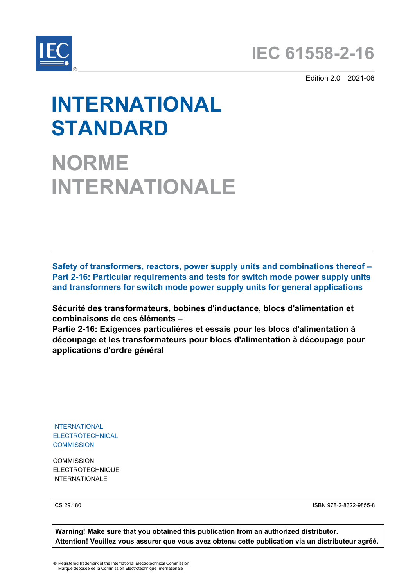

Edition 2.0 2021-06

# **INTERNATIONAL STANDARD**

# **NORME INTERNATIONALE**

**Safety of transformers, reactors, power supply units and combinations thereof – Part 2-16: Particular requirements and tests for switch mode power supply units and transformers for switch mode power supply units for general applications** 

**Sécurité des transformateurs, bobines d'inductance, blocs d'alimentation et combinaisons de ces éléments –** 

**Partie 2-16: Exigences particulières et essais pour les blocs d'alimentation à découpage et les transformateurs pour blocs d'alimentation à découpage pour applications d'ordre général** 

INTERNATIONAL ELECTROTECHNICAL **COMMISSION** 

**COMMISSION** ELECTROTECHNIQUE INTERNATIONALE

ICS 29.180 ISBN 978-2-8322-9855-8

**Warning! Make sure that you obtained this publication from an authorized distributor. Attention! Veuillez vous assurer que vous avez obtenu cette publication via un distributeur agréé.**

® Registered trademark of the International Electrotechnical Commission Marque déposée de la Commission Electrotechnique Internationale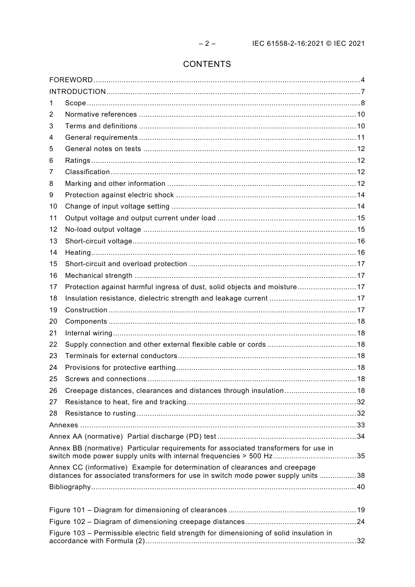# CONTENTS

| 1  |                                                                                                                                                                   |  |
|----|-------------------------------------------------------------------------------------------------------------------------------------------------------------------|--|
| 2  |                                                                                                                                                                   |  |
| 3  |                                                                                                                                                                   |  |
| 4  |                                                                                                                                                                   |  |
| 5  |                                                                                                                                                                   |  |
| 6  |                                                                                                                                                                   |  |
| 7  |                                                                                                                                                                   |  |
| 8  |                                                                                                                                                                   |  |
| 9  |                                                                                                                                                                   |  |
| 10 |                                                                                                                                                                   |  |
| 11 |                                                                                                                                                                   |  |
| 12 |                                                                                                                                                                   |  |
| 13 |                                                                                                                                                                   |  |
| 14 |                                                                                                                                                                   |  |
| 15 |                                                                                                                                                                   |  |
| 16 |                                                                                                                                                                   |  |
| 17 | Protection against harmful ingress of dust, solid objects and moisture17                                                                                          |  |
| 18 |                                                                                                                                                                   |  |
| 19 |                                                                                                                                                                   |  |
| 20 |                                                                                                                                                                   |  |
| 21 |                                                                                                                                                                   |  |
| 22 |                                                                                                                                                                   |  |
| 23 |                                                                                                                                                                   |  |
| 24 |                                                                                                                                                                   |  |
| 25 |                                                                                                                                                                   |  |
| 26 | Creepage distances, clearances and distances through insulation18                                                                                                 |  |
| 27 |                                                                                                                                                                   |  |
| 28 |                                                                                                                                                                   |  |
|    |                                                                                                                                                                   |  |
|    |                                                                                                                                                                   |  |
|    | Annex BB (normative) Particular requirements for associated transformers for use in                                                                               |  |
|    | Annex CC (informative) Example for determination of clearances and creepage<br>distances for associated transformers for use in switch mode power supply units 38 |  |
|    |                                                                                                                                                                   |  |
|    |                                                                                                                                                                   |  |
|    |                                                                                                                                                                   |  |
|    |                                                                                                                                                                   |  |
|    | Figure 103 - Permissible electric field strength for dimensioning of solid insulation in                                                                          |  |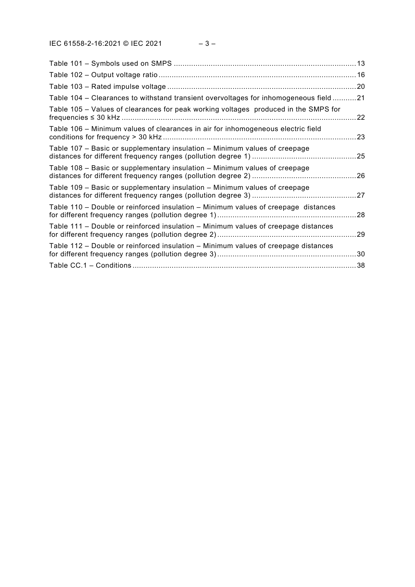| Table 104 - Clearances to withstand transient overvoltages for inhomogeneous field21 |      |
|--------------------------------------------------------------------------------------|------|
| Table 105 – Values of clearances for peak working voltages produced in the SMPS for  | 22   |
| Table 106 – Minimum values of clearances in air for inhomogeneous electric field     |      |
| Table 107 – Basic or supplementary insulation – Minimum values of creepage           | 25   |
| Table 108 – Basic or supplementary insulation – Minimum values of creepage           | 26   |
| Table 109 – Basic or supplementary insulation – Minimum values of creepage           | 27   |
| Table 110 – Double or reinforced insulation – Minimum values of creepage distances   | . 28 |
| Table 111 - Double or reinforced insulation - Minimum values of creepage distances   | 29   |
| Table 112 – Double or reinforced insulation – Minimum values of creepage distances   |      |
|                                                                                      | 38   |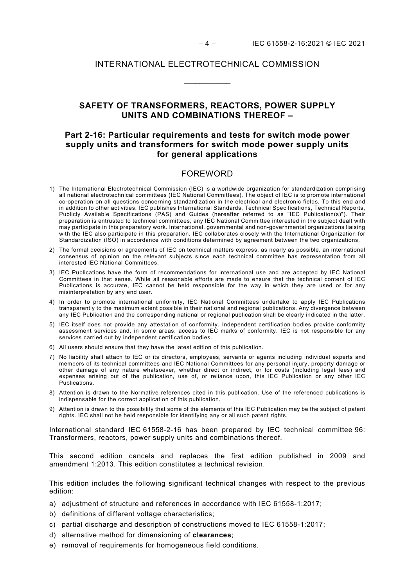#### INTERNATIONAL ELECTROTECHNICAL COMMISSION

\_\_\_\_\_\_\_\_\_\_\_\_

# **SAFETY OF TRANSFORMERS, REACTORS, POWER SUPPLY UNITS AND COMBINATIONS THEREOF –**

# **Part 2-16: Particular requirements and tests for switch mode power supply units and transformers for switch mode power supply units for general applications**

#### FOREWORD

- <span id="page-3-0"></span>1) The International Electrotechnical Commission (IEC) is a worldwide organization for standardization comprising all national electrotechnical committees (IEC National Committees). The object of IEC is to promote international co-operation on all questions concerning standardization in the electrical and electronic fields. To this end and in addition to other activities, IEC publishes International Standards, Technical Specifications, Technical Reports, Publicly Available Specifications (PAS) and Guides (hereafter referred to as "IEC Publication(s)"). Their preparation is entrusted to technical committees; any IEC National Committee interested in the subject dealt with may participate in this preparatory work. International, governmental and non-governmental organizations liaising with the IEC also participate in this preparation. IEC collaborates closely with the International Organization for Standardization (ISO) in accordance with conditions determined by agreement between the two organizations.
- 2) The formal decisions or agreements of IEC on technical matters express, as nearly as possible, an international consensus of opinion on the relevant subjects since each technical committee has representation from all interested IEC National Committees.
- 3) IEC Publications have the form of recommendations for international use and are accepted by IEC National Committees in that sense. While all reasonable efforts are made to ensure that the technical content of IEC Publications is accurate, IEC cannot be held responsible for the way in which they are used or for any misinterpretation by any end user.
- 4) In order to promote international uniformity, IEC National Committees undertake to apply IEC Publications transparently to the maximum extent possible in their national and regional publications. Any divergence between any IEC Publication and the corresponding national or regional publication shall be clearly indicated in the latter.
- 5) IEC itself does not provide any attestation of conformity. Independent certification bodies provide conformity assessment services and, in some areas, access to IEC marks of conformity. IEC is not responsible for any services carried out by independent certification bodies.
- 6) All users should ensure that they have the latest edition of this publication.
- 7) No liability shall attach to IEC or its directors, employees, servants or agents including individual experts and members of its technical committees and IEC National Committees for any personal injury, property damage or other damage of any nature whatsoever, whether direct or indirect, or for costs (including legal fees) and expenses arising out of the publication, use of, or reliance upon, this IEC Publication or any other IEC Publications.
- 8) Attention is drawn to the Normative references cited in this publication. Use of the referenced publications is indispensable for the correct application of this publication.
- 9) Attention is drawn to the possibility that some of the elements of this IEC Publication may be the subject of patent rights. IEC shall not be held responsible for identifying any or all such patent rights.

International standard IEC 61558-2-16 has been prepared by IEC technical committee 96: Transformers, reactors, power supply units and combinations thereof.

This second edition cancels and replaces the first edition published in 2009 and amendment 1:2013. This edition constitutes a technical revision.

This edition includes the following significant technical changes with respect to the previous edition:

- a) adjustment of structure and references in accordance with IEC 61558-1:2017;
- b) definitions of different voltage characteristics;
- c) partial discharge and description of constructions moved to IEC 61558-1:2017;
- d) alternative method for dimensioning of **clearances**;
- e) removal of requirements for homogeneous field conditions.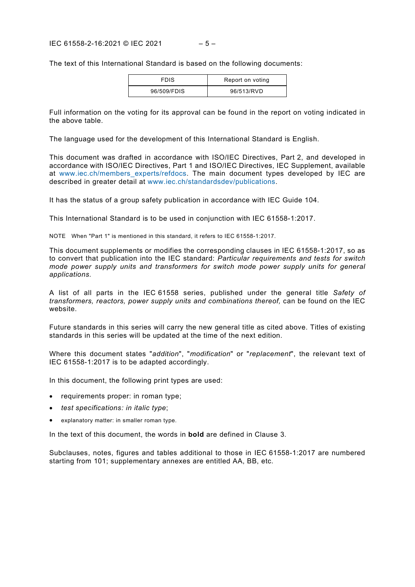The text of this International Standard is based on the following documents:

| <b>FDIS</b> | Report on voting |
|-------------|------------------|
| 96/509/FDIS | 96/513/RVD       |

Full information on the voting for its approval can be found in the report on voting indicated in the above table.

The language used for the development of this International Standard is English.

This document was drafted in accordance with ISO/IEC Directives, Part 2, and developed in accordance with ISO/IEC Directives, Part 1 and ISO/IEC Directives, IEC Supplement, available at www.iec.ch/members experts/refdocs. The main document types developed by IEC are described in greater detail at [www.iec.ch/standardsdev/publications.](http://www.iec.ch/standardsdev/publications)

It has the status of a group safety publication in accordance with IEC Guide 104.

This International Standard is to be used in conjunction with IEC 61558-1:2017.

NOTE When "Part 1" is mentioned in this standard, it refers to IEC 61558-1:2017.

This document supplements or modifies the corresponding clauses in IEC 61558-1:2017, so as to convert that publication into the IEC standard: *Particular requirements and tests for switch mode power supply units and transformers for switch mode power supply units for general applications.* 

A list of all parts in the IEC 61558 series, published under the general title *Safety of transformers, reactors, power supply units and combinations thereof,* can be found on the IEC website.

Future standards in this series will carry the new general title as cited above. Titles of existing standards in this series will be updated at the time of the next edition.

Where this document states "*addition*", "*modification*" or "*replacement*", the relevant text of IEC 61558-1:2017 is to be adapted accordingly.

In this document, the following print types are used:

- requirements proper: in roman type;
- *test specifications: in italic type*;
- explanatory matter: in smaller roman type.

In the text of this document, the words in **bold** are defined in Clause 3.

Subclauses, notes, figures and tables additional to those in IEC 61558-1:2017 are numbered starting from 101; supplementary annexes are entitled AA, BB, etc.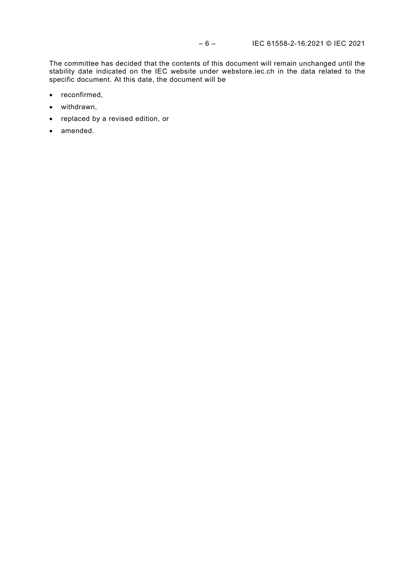The committee has decided that the contents of this document will remain unchanged until the stability date indicated on the IEC website under webstore.iec.ch in the data related to the specific document. At this date, the document will be

- reconfirmed,
- withdrawn,
- replaced by a revised edition, or
- amended.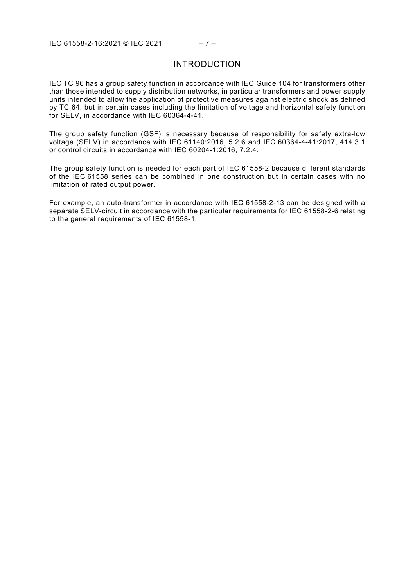#### INTRODUCTION

<span id="page-6-0"></span>IEC TC 96 has a group safety function in accordance with IEC Guide 104 for transformers other than those intended to supply distribution networks, in particular transformers and power supply units intended to allow the application of protective measures against electric shock as defined by TC 64, but in certain cases including the limitation of voltage and horizontal safety function for SELV, in accordance with IEC 60364-4-41.

The group safety function (GSF) is necessary because of responsibility for safety extra-low voltage (SELV) in accordance with IEC 61140:2016, 5.2.6 and IEC 60364-4-41:2017, 414.3.1 or control circuits in accordance with IEC 60204-1:2016, 7.2.4.

The group safety function is needed for each part of IEC 61558-2 because different standards of the IEC 61558 series can be combined in one construction but in certain cases with no limitation of rated output power.

For example, an auto-transformer in accordance with IEC 61558-2-13 can be designed with a separate SELV-circuit in accordance with the particular requirements for IEC 61558-2-6 relating to the general requirements of IEC 61558-1.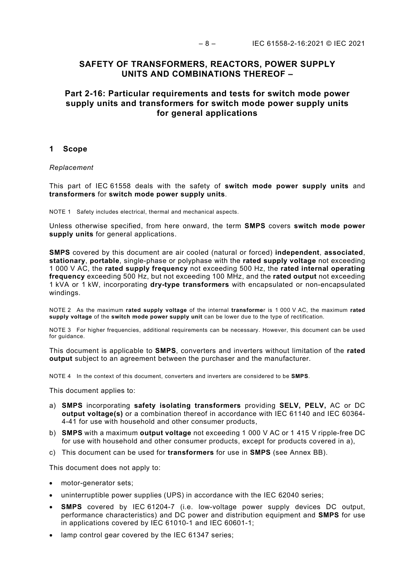# **SAFETY OF TRANSFORMERS, REACTORS, POWER SUPPLY UNITS AND COMBINATIONS THEREOF –**

# **Part 2-16: Particular requirements and tests for switch mode power supply units and transformers for switch mode power supply units for general applications**

### <span id="page-7-0"></span>**1 Scope**

*Replacement*

This part of IEC 61558 deals with the safety of **switch mode power supply units** and **transformers** for **switch mode power supply units**.

NOTE 1 Safety includes electrical, thermal and mechanical aspects.

Unless otherwise specified, from here onward, the term **SMPS** covers **switch mode power supply units** for general applications.

**SMPS** covered by this document are air cooled (natural or forced) **independent**, **associated**, **stationary**, **portable**, single-phase or polyphase with the **rated supply voltage** not exceeding 1 000 V AC, the **rated supply frequency** not exceeding 500 Hz, the **rated internal operating frequency** exceeding 500 Hz, but not exceeding 100 MHz, and the **rated output** not exceeding 1 kVA or 1 kW, incorporating **dry-type transformers** with encapsulated or non-encapsulated windings.

NOTE 2 As the maximum **rated supply voltage** of the internal **transforme**r is 1 000 V AC, the maximum **rated supply voltage** of the **switch mode power supply unit** can be lower due to the type of rectification.

NOTE 3 For higher frequencies, additional requirements can be necessary. However, this document can be used for guidance.

This document is applicable to **SMPS**, converters and inverters without limitation of the **rated output** subject to an agreement between the purchaser and the manufacturer.

NOTE 4 In the context of this document, converters and inverters are considered to be **SMPS**.

This document applies to:

- a) **SMPS** incorporating **safety isolating transformers** providing **SELV, PELV,** AC or DC **output voltage(s)** or a combination thereof in accordance with IEC 61140 and IEC 60364- 4-41 for use with household and other consumer products,
- b) **SMPS** with a maximum **output voltage** not exceeding 1 000 V AC or 1 415 V ripple-free DC for use with household and other consumer products, except for products covered in a),
- c) This document can be used for **transformers** for use in **SMPS** (see Annex BB).

This document does not apply to:

- motor-generator sets;
- uninterruptible power supplies (UPS) in accordance with the IEC 62040 series;
- **SMPS** covered by IEC 61204-7 (i.e. low-voltage power supply devices DC output, performance characteristics) and DC power and distribution equipment and **SMPS** for use in applications covered by IEC 61010-1 and IEC 60601-1;
- lamp control gear covered by the IEC 61347 series;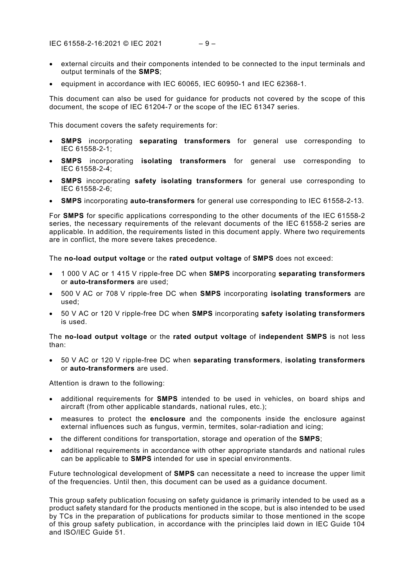- external circuits and their components intended to be connected to the input terminals and output terminals of the **SMPS**;
- equipment in accordance with IEC 60065, IEC 60950-1 and IEC 62368-1.

This document can also be used for guidance for products not covered by the scope of this document, the scope of IEC 61204-7 or the scope of the IEC 61347 series.

This document covers the safety requirements for:

- **SMPS** incorporating **separating transformers** for general use corresponding to IEC 61558-2-1;
- **SMPS** incorporating **isolating transformers** for general use corresponding to IEC 61558-2-4;
- **SMPS** incorporating **safety isolating transformers** for general use corresponding to IEC 61558-2-6;
- **SMPS** incorporating **auto-transformers** for general use corresponding to IEC 61558-2-13.

For **SMPS** for specific applications corresponding to the other documents of the IEC 61558-2 series, the necessary requirements of the relevant documents of the IEC 61558-2 series are applicable. In addition, the requirements listed in this document apply. Where two requirements are in conflict, the more severe takes precedence.

The **no-load output voltage** or the **rated output voltage** of **SMPS** does not exceed:

- 1 000 V AC or 1 415 V ripple-free DC when **SMPS** incorporating **separating transformers** or **auto-transformers** are used;
- 500 V AC or 708 V ripple-free DC when **SMPS** incorporating **isolating transformers** are used;
- 50 V AC or 120 V ripple-free DC when **SMPS** incorporating **safety isolating transformers** is used.

The **no-load output voltage** or the **rated output voltage** of **independent SMPS** is not less than:

• 50 V AC or 120 V ripple-free DC when **separating transformers**, **isolating transformers** or **auto-transformers** are used.

Attention is drawn to the following:

- additional requirements for **SMPS** intended to be used in vehicles, on board ships and aircraft (from other applicable standards, national rules, etc.);
- measures to protect the **enclosure** and the components inside the enclosure against external influences such as fungus, vermin, termites, solar-radiation and icing;
- the different conditions for transportation, storage and operation of the **SMPS**;
- additional requirements in accordance with other appropriate standards and national rules can be applicable to **SMPS** intended for use in special environments.

Future technological development of **SMPS** can necessitate a need to increase the upper limit of the frequencies. Until then, this document can be used as a guidance document.

This group safety publication focusing on safety guidance is primarily intended to be used as a product safety standard for the products mentioned in the scope, but is also intended to be used by TCs in the preparation of publications for products similar to those mentioned in the scope of this group safety publication, in accordance with the principles laid down in IEC Guide 104 and lSO/lEC Guide 51.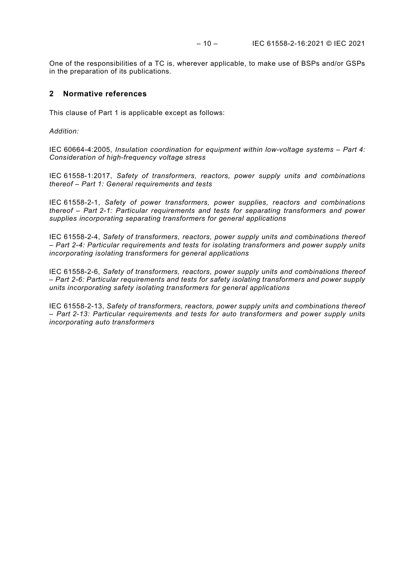One of the responsibilities of a TC is, wherever applicable, to make use of BSPs and/or GSPs in the preparation of its publications.

### <span id="page-9-0"></span>**2 Normative references**

This clause of Part 1 is applicable except as follows:

*Addition:* 

IEC 60664-4:2005, *Insulation coordination for equipment within low-voltage systems – Part 4: Consideration of high-frequency voltage stress*

IEC 61558-1:2017, *Safety of transformers, reactors, power supply units and combinations thereof – Part 1: General requirements and tests*

IEC 61558-2-1, *Safety of power transformers, power supplies, reactors and combinations thereof – Part 2-1: Particular requirements and tests for separating transformers and power supplies incorporating separating transformers for general applications* 

IEC 61558-2-4, *Safety of transformers, reactors, power supply units and combinations thereof – Part 2-4: Particular requirements and tests for isolating transformers and power supply units incorporating isolating transformers for general applications*

IEC 61558-2-6, *Safety of transformers, reactors, power supply units and combinations thereof – Part 2-6: Particular requirements and tests for safety isolating transformers and power supply units incorporating safety isolating transformers for general applications*

<span id="page-9-1"></span>IEC 61558-2-13, *Safety of transformers, reactors, power supply units and combinations thereof – Part 2-13: Particular requirements and tests for auto transformers and power supply units incorporating auto transformers*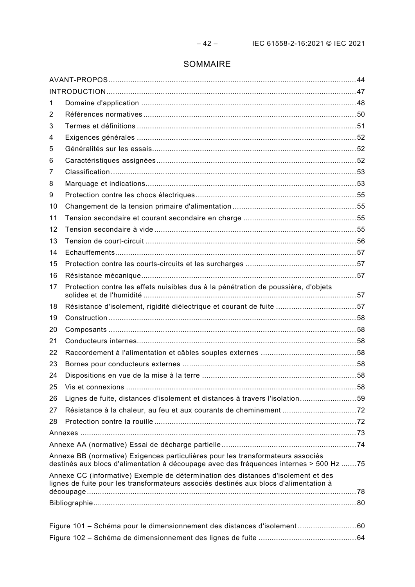# SOMMAIRE

| 1  |                                                                                                                                                                            |  |
|----|----------------------------------------------------------------------------------------------------------------------------------------------------------------------------|--|
| 2  |                                                                                                                                                                            |  |
| 3  |                                                                                                                                                                            |  |
| 4  |                                                                                                                                                                            |  |
| 5  |                                                                                                                                                                            |  |
| 6  |                                                                                                                                                                            |  |
| 7  |                                                                                                                                                                            |  |
| 8  |                                                                                                                                                                            |  |
| 9  |                                                                                                                                                                            |  |
| 10 |                                                                                                                                                                            |  |
| 11 |                                                                                                                                                                            |  |
| 12 |                                                                                                                                                                            |  |
| 13 |                                                                                                                                                                            |  |
| 14 |                                                                                                                                                                            |  |
| 15 |                                                                                                                                                                            |  |
| 16 |                                                                                                                                                                            |  |
| 17 | Protection contre les effets nuisibles dus à la pénétration de poussière, d'objets                                                                                         |  |
| 18 | Résistance d'isolement, rigidité diélectrique et courant de fuite 57                                                                                                       |  |
| 19 |                                                                                                                                                                            |  |
| 20 |                                                                                                                                                                            |  |
| 21 |                                                                                                                                                                            |  |
| 22 |                                                                                                                                                                            |  |
| 23 |                                                                                                                                                                            |  |
| 24 |                                                                                                                                                                            |  |
| 25 |                                                                                                                                                                            |  |
| 26 | Lignes de fuite, distances d'isolement et distances à travers l'isolation59                                                                                                |  |
| 27 | Résistance à la chaleur, au feu et aux courants de cheminement 72                                                                                                          |  |
| 28 |                                                                                                                                                                            |  |
|    |                                                                                                                                                                            |  |
|    |                                                                                                                                                                            |  |
|    | Annexe BB (normative) Exigences particulières pour les transformateurs associés<br>destinés aux blocs d'alimentation à découpage avec des fréquences internes > 500 Hz 75  |  |
|    | Annexe CC (informative) Exemple de détermination des distances d'isolement et des<br>lignes de fuite pour les transformateurs associés destinés aux blocs d'alimentation à |  |
|    |                                                                                                                                                                            |  |
|    |                                                                                                                                                                            |  |
|    | Figure 101 – Schéma pour le dimensionnement des distances d'isolement60                                                                                                    |  |
|    |                                                                                                                                                                            |  |
|    |                                                                                                                                                                            |  |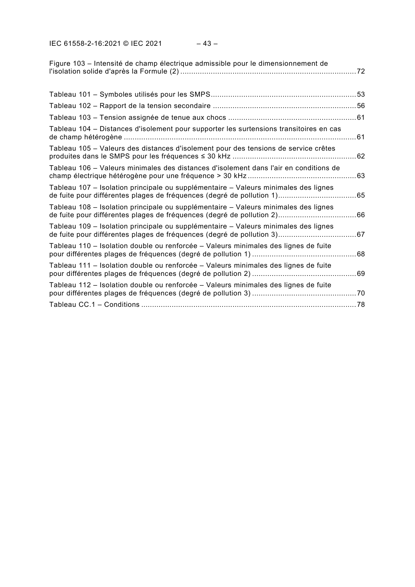| Figure 103 – Intensité de champ électrique admissible pour le dimensionnement de       |     |
|----------------------------------------------------------------------------------------|-----|
|                                                                                        |     |
|                                                                                        |     |
|                                                                                        |     |
| Tableau 104 - Distances d'isolement pour supporter les surtensions transitoires en cas |     |
| Tableau 105 - Valeurs des distances d'isolement pour des tensions de service crêtes    |     |
| Tableau 106 - Valeurs minimales des distances d'isolement dans l'air en conditions de  |     |
| Tableau 107 - Isolation principale ou supplémentaire - Valeurs minimales des lignes    |     |
| Tableau 108 – Isolation principale ou supplémentaire – Valeurs minimales des lignes    |     |
| Tableau 109 – Isolation principale ou supplémentaire – Valeurs minimales des lignes    | .67 |
| Tableau 110 - Isolation double ou renforcée - Valeurs minimales des lignes de fuite    | .68 |
| Tableau 111 – Isolation double ou renforcée – Valeurs minimales des lignes de fuite    |     |
| Tableau 112 - Isolation double ou renforcée - Valeurs minimales des lignes de fuite    |     |
|                                                                                        |     |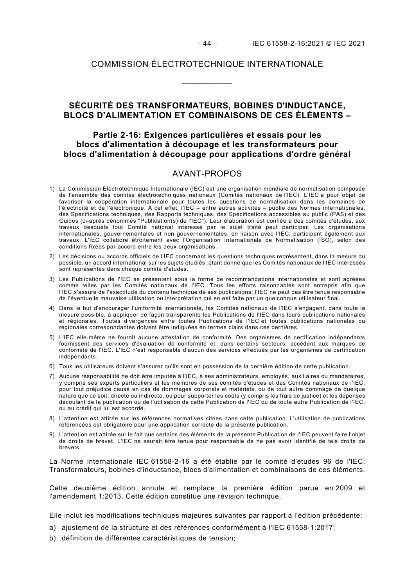## COMMISSION ÉLECTROTECHNIQUE INTERNATIONALE

\_\_\_\_\_\_\_\_\_\_\_\_

# **SÉCURITÉ DES TRANSFORMATEURS, BOBINES D'INDUCTANCE, BLOCS D'ALIMENTATION ET COMBINAISONS DE CES ÉLÉMENTS –**

## **Partie 2-16: Exigences particulières et essais pour les blocs d'alimentation à découpage et les transformateurs pour blocs d'alimentation à découpage pour applications d'ordre général**

### AVANT-PROPOS

- 1) La Commission Electrotechnique Internationale (IEC) est une organisation mondiale de normalisation composée de l'ensemble des comités électrotechniques nationaux (Comités nationaux de l'IEC). L'IEC a pour objet de favoriser la coopération internationale pour toutes les questions de normalisation dans les domaines de l'électricité et de l'électronique. A cet effet, l'IEC – entre autres activités – publie des Normes internationales, des Spécifications techniques, des Rapports techniques, des Spécifications accessibles au public (PAS) et des Guides (ci-après dénommés "Publication(s) de l'IEC"). Leur élaboration est confiée à des comités d'études, aux travaux desquels tout Comité national intéressé par le sujet traité peut participer. Les organisations internationales, gouvernementales et non gouvernementales, en liaison avec l'IEC, participent également aux travaux. L'IEC collabore étroitement avec l'Organisation Internationale de Normalisation (ISO), selon des conditions fixées par accord entre les deux organisations.
- 2) Les décisions ou accords officiels de l'IEC concernant les questions techniques représentent, dans la mesure du possible, un accord international sur les sujets étudiés, étant donné que les Comités nationaux de l'IEC intéressés sont représentés dans chaque comité d'études.
- 3) Les Publications de l'IEC se présentent sous la forme de recommandations internationales et sont agréées comme telles par les Comités nationaux de l'IEC. Tous les efforts raisonnables sont entrepris afin que l'IEC s'assure de l'exactitude du contenu technique de ses publications; l'IEC ne peut pas être tenue responsable de l'éventuelle mauvaise utilisation ou interprétation qui en est faite par un quelconque utilisateur final.
- 4) Dans le but d'encourager l'uniformité internationale, les Comités nationaux de l'IEC s'engagent, dans toute la mesure possible, à appliquer de façon transparente les Publications de l'IEC dans leurs publications nationales et régionales. Toutes divergences entre toutes Publications de l'IEC et toutes publications nationales ou régionales correspondantes doivent être indiquées en termes clairs dans ces dernières.
- 5) L'IEC elle-même ne fournit aucune attestation de conformité. Des organismes de certification indépendants fournissent des services d'évaluation de conformité et, dans certains secteurs, accèdent aux marques de conformité de l'IEC. L'IEC n'est responsable d'aucun des services effectués par les organismes de certification indépendants.
- 6) Tous les utilisateurs doivent s'assurer qu'ils sont en possession de la dernière édition de cette publication.
- 7) Aucune responsabilité ne doit être imputée à l'IEC, à ses administrateurs, employés, auxiliaires ou mandataires, y compris ses experts particuliers et les membres de ses comités d'études et des Comités nationaux de l'IEC, pour tout préjudice causé en cas de dommages corporels et matériels, ou de tout autre dommage de quelque nature que ce soit, directe ou indirecte, ou pour supporter les coûts (y compris les frais de justice) et les dépenses découlant de la publication ou de l'utilisation de cette Publication de l'IEC ou de toute autre Publication de l'IEC, ou au crédit qui lui est accordé.
- 8) L'attention est attirée sur les références normatives citées dans cette publication. L'utilisation de publications référencées est obligatoire pour une application correcte de la présente publication.
- 9) L'attention est attirée sur le fait que certains des éléments de la présente Publication de l'IEC peuvent faire l'objet de droits de brevet. L'IEC ne saurait être tenue pour responsable de ne pas avoir identifié de tels droits de brevets.

La Norme internationale IEC 61558-2-16 a été établie par le comité d'études 96 de l'IEC: Transformateurs, bobines d'inductance, blocs d'alimentation et combinaisons de ces éléments.

Cette deuxième édition annule et remplace la première édition parue en 2009 et l'amendement 1:2013. Cette édition constitue une révision technique.

Elle inclut les modifications techniques majeures suivantes par rapport à l'édition précédente:

- a) ajustement de la structure et des références conformément à l'IEC 61558-1:2017;
- b) définition de différentes caractéristiques de tension;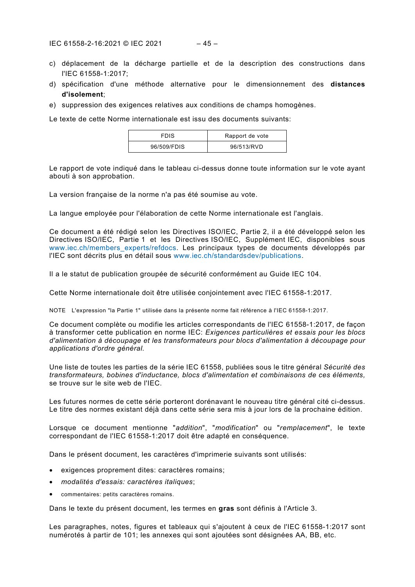- c) déplacement de la décharge partielle et de la description des constructions dans l'IEC 61558-1:2017;
- d) spécification d'une méthode alternative pour le dimensionnement des **distances d'isolement**;
- e) suppression des exigences relatives aux conditions de champs homogènes.

Le texte de cette Norme internationale est issu des documents suivants:

| <b>FDIS</b> | Rapport de vote |
|-------------|-----------------|
| 96/509/FDIS | 96/513/RVD      |

Le rapport de vote indiqué dans le tableau ci-dessus donne toute information sur le vote ayant abouti à son approbation.

La version française de la norme n'a pas été soumise au vote.

La langue employée pour l'élaboration de cette Norme internationale est l'anglais.

Ce document a été rédigé selon les Directives ISO/IEC, Partie 2, il a été développé selon les Directives ISO/IEC, Partie 1 et les Directives ISO/IEC, Supplément IEC, disponibles sous [www.iec.ch/members\\_experts/refdocs.](http://www.iec.ch/members_experts/refdocs) Les principaux types de documents développés par l'IEC sont décrits plus en détail sous [www.iec.ch/standardsdev/publications.](http://www.iec.ch/standardsdev/publications)

Il a le statut de publication groupée de sécurité conformément au Guide IEC 104.

Cette Norme internationale doit être utilisée conjointement avec l'IEC 61558-1:2017.

NOTE L'expression "la Partie 1" utilisée dans la présente norme fait référence à l'IEC 61558-1:2017.

Ce document complète ou modifie les articles correspondants de l'IEC 61558-1:2017, de façon à transformer cette publication en norme IEC: *Exigences particulières et essais pour les blocs d'alimentation à découpage et les transformateurs pour blocs d'alimentation à découpage pour applications d'ordre général.* 

Une liste de toutes les parties de la série IEC 61558, publiées sous le titre général *Sécurité des transformateurs, bobines d'inductance, blocs d'alimentation et combinaisons de ces éléments,* se trouve sur le site web de l'IEC.

Les futures normes de cette série porteront dorénavant le nouveau titre général cité ci-dessus. Le titre des normes existant déjà dans cette série sera mis à jour lors de la prochaine édition.

Lorsque ce document mentionne "*addition*", "*modification*" ou "*remplacement*", le texte correspondant de l'IEC 61558-1:2017 doit être adapté en conséquence.

Dans le présent document, les caractères d'imprimerie suivants sont utilisés:

- exigences proprement dites: caractères romains;
- *modalités d'essais: caractères italiques*;
- commentaires: petits caractères romains.

Dans le texte du présent document, les termes en **gras** sont définis à l'Article 3.

Les paragraphes, notes, figures et tableaux qui s'ajoutent à ceux de l'IEC 61558-1:2017 sont numérotés à partir de 101; les annexes qui sont ajoutées sont désignées AA, BB, etc.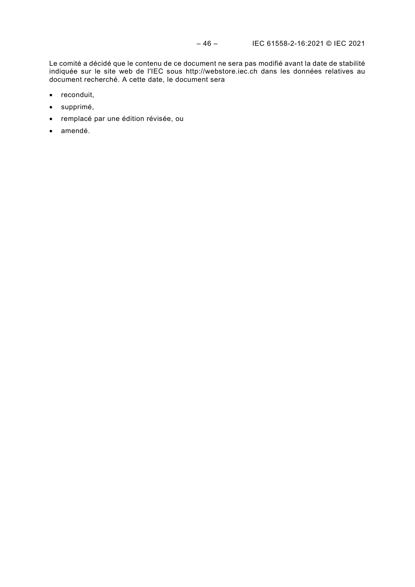Le comité a décidé que le contenu de ce document ne sera pas modifié avant la date de stabilité indiquée sur le site web de l'IEC sous http://webstore.iec.ch dans les données relatives au document recherché. A cette date, le document sera

- reconduit,
- supprimé,
- remplacé par une édition révisée, ou
- amendé.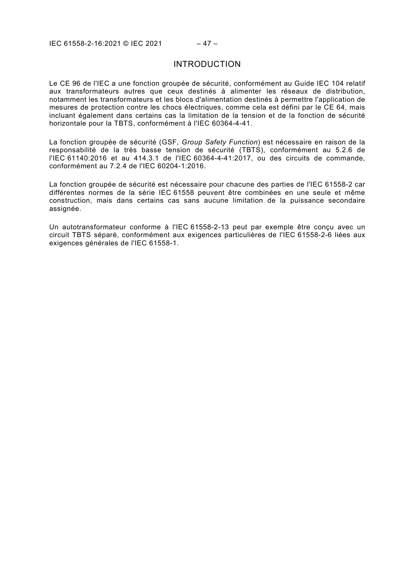#### INTRODUCTION

Le CE 96 de l'IEC a une fonction groupée de sécurité, conformément au Guide IEC 104 relatif aux transformateurs autres que ceux destinés à alimenter les réseaux de distribution, notamment les transformateurs et les blocs d'alimentation destinés à permettre l'application de mesures de protection contre les chocs électriques, comme cela est défini par le CE 64, mais incluant également dans certains cas la limitation de la tension et de la fonction de sécurité horizontale pour la TBTS, conformément à l'IEC 60364-4-41.

La fonction groupée de sécurité (GSF, *Group Safety Function*) est nécessaire en raison de la responsabilité de la très basse tension de sécurité (TBTS), conformément au 5.2.6 de l'IEC 61140:2016 et au 414.3.1 de l'IEC 60364-4-41:2017, ou des circuits de commande, conformément au 7.2.4 de l'IEC 60204-1:2016.

La fonction groupée de sécurité est nécessaire pour chacune des parties de l'IEC 61558-2 car différentes normes de la série IEC 61558 peuvent être combinées en une seule et même construction, mais dans certains cas sans aucune limitation de la puissance secondaire assignée.

Un autotransformateur conforme à l'IEC 61558-2-13 peut par exemple être conçu avec un circuit TBTS séparé, conformément aux exigences particulières de l'IEC 61558-2-6 liées aux exigences générales de l'IEC 61558-1.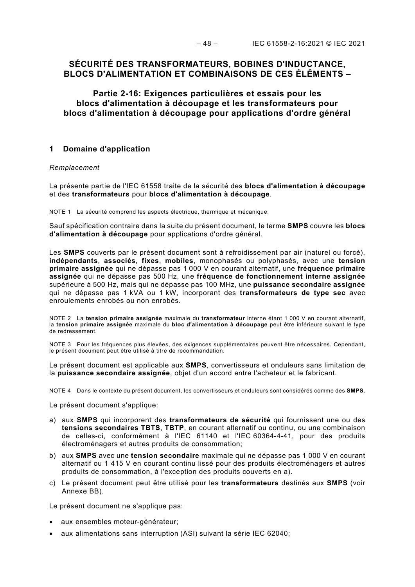# **SÉCURITÉ DES TRANSFORMATEURS, BOBINES D'INDUCTANCE, BLOCS D'ALIMENTATION ET COMBINAISONS DE CES ÉLÉMENTS –**

**Partie 2-16: Exigences particulières et essais pour les blocs d'alimentation à découpage et les transformateurs pour blocs d'alimentation à découpage pour applications d'ordre général**

#### **1 Domaine d'application**

#### *Remplacement*

La présente partie de l'IEC 61558 traite de la sécurité des **blocs d'alimentation à découpage** et des **transformateurs** pour **blocs d'alimentation à découpage**.

NOTE 1 La sécurité comprend les aspects électrique, thermique et mécanique.

Sauf spécification contraire dans la suite du présent document, le terme **SMPS** couvre les **blocs d'alimentation à découpage** pour applications d'ordre général.

Les **SMPS** couverts par le présent document sont à refroidissement par air (naturel ou forcé), **indépendants**, **associés**, **fixes**, **mobiles**, monophasés ou polyphasés, avec une **tension primaire assignée** qui ne dépasse pas 1 000 V en courant alternatif, une **fréquence primaire assignée** qui ne dépasse pas 500 Hz, une **fréquence de fonctionnement interne assignée** supérieure à 500 Hz, mais qui ne dépasse pas 100 MHz, une **puissance secondaire assignée** qui ne dépasse pas 1 kVA ou 1 kW, incorporant des **transformateurs de type sec** avec enroulements enrobés ou non enrobés.

NOTE 2 La **tension primaire assignée** maximale du **transformateur** interne étant 1 000 V en courant alternatif, la **tension primaire assignée** maximale du **bloc d'alimentation à découpage** peut être inférieure suivant le type de redressement.

NOTE 3 Pour les fréquences plus élevées, des exigences supplémentaires peuvent être nécessaires. Cependant, le présent document peut être utilisé à titre de recommandation.

Le présent document est applicable aux **SMPS**, convertisseurs et onduleurs sans limitation de la **puissance secondaire assignée**, objet d'un accord entre l'acheteur et le fabricant.

NOTE 4 Dans le contexte du présent document, les convertisseurs et onduleurs sont considérés comme des **SMPS**.

Le présent document s'applique:

- a) aux **SMPS** qui incorporent des **transformateurs de sécurité** qui fournissent une ou des **tensions secondaires TBTS**, **TBTP**, en courant alternatif ou continu, ou une combinaison de celles-ci, conformément à l'IEC 61140 et l'IEC 60364-4-41, pour des produits électroménagers et autres produits de consommation;
- b) aux **SMPS** avec une **tension secondaire** maximale qui ne dépasse pas 1 000 V en courant alternatif ou 1 415 V en courant continu lissé pour des produits électroménagers et autres produits de consommation, à l'exception des produits couverts en a).
- c) Le présent document peut être utilisé pour les **transformateurs** destinés aux **SMPS** (voir Annexe BB).

Le présent document ne s'applique pas:

- aux ensembles moteur-générateur;
- aux alimentations sans interruption (ASI) suivant la série IEC 62040;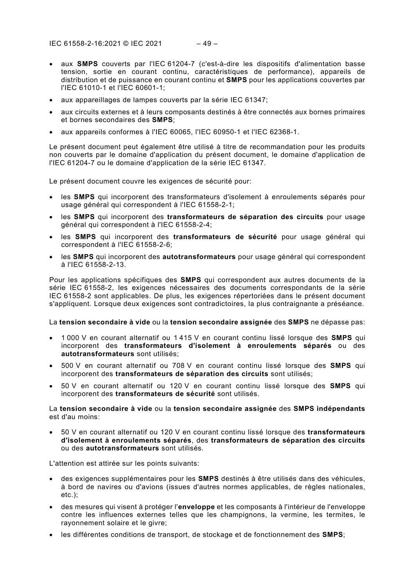- aux **SMPS** couverts par l'IEC 61204-7 (c'est-à-dire les dispositifs d'alimentation basse tension, sortie en courant continu, caractéristiques de performance), appareils de distribution et de puissance en courant continu et **SMPS** pour les applications couvertes par l'IEC 61010-1 et l'IEC 60601-1;
- aux appareillages de lampes couverts par la série IEC 61347;
- aux circuits externes et à leurs composants destinés à être connectés aux bornes primaires et bornes secondaires des **SMPS**;
- aux appareils conformes à l'IEC 60065, l'IEC 60950-1 et l'IEC 62368-1.

Le présent document peut également être utilisé à titre de recommandation pour les produits non couverts par le domaine d'application du présent document, le domaine d'application de l'IEC 61204-7 ou le domaine d'application de la série IEC 61347.

Le présent document couvre les exigences de sécurité pour:

- les **SMPS** qui incorporent des transformateurs d'isolement à enroulements séparés pour usage général qui correspondent à l'IEC 61558-2-1;
- les **SMPS** qui incorporent des **transformateurs de séparation des circuits** pour usage général qui correspondent à l'IEC 61558-2-4;
- les **SMPS** qui incorporent des **transformateurs de sécurité** pour usage général qui correspondent à l'IEC 61558-2-6;
- les **SMPS** qui incorporent des **autotransformateurs** pour usage général qui correspondent à l'IEC 61558-2-13.

Pour les applications spécifiques des **SMPS** qui correspondent aux autres documents de la série IEC 61558-2, les exigences nécessaires des documents correspondants de la série IEC 61558-2 sont applicables. De plus, les exigences répertoriées dans le présent document s'appliquent. Lorsque deux exigences sont contradictoires, la plus contraignante a préséance.

#### La **tension secondaire à vide** ou la **tension secondaire assignée** des **SMPS** ne dépasse pas:

- 1 000 V en courant alternatif ou 1 415 V en courant continu lissé lorsque des **SMPS** qui incorporent des **transformateurs d'isolement à enroulements séparés** ou des **autotransformateurs** sont utilisés;
- 500 V en courant alternatif ou 708 V en courant continu lissé lorsque des **SMPS** qui incorporent des **transformateurs de séparation des circuits** sont utilisés;
- 50 V en courant alternatif ou 120 V en courant continu lissé lorsque des **SMPS** qui incorporent des **transformateurs de sécurité** sont utilisés.

#### La **tension secondaire à vide** ou la **tension secondaire assignée** des **SMPS indépendants** est d'au moins:

• 50 V en courant alternatif ou 120 V en courant continu lissé lorsque des **transformateurs d'isolement à enroulements séparés**, des **transformateurs de séparation des circuits** ou des **autotransformateurs** sont utilisés.

L'attention est attirée sur les points suivants:

- des exigences supplémentaires pour les **SMPS** destinés à être utilisés dans des véhicules, à bord de navires ou d'avions (issues d'autres normes applicables, de règles nationales, etc.);
- des mesures qui visent à protéger l'**enveloppe** et les composants à l'intérieur de l'enveloppe contre les influences externes telles que les champignons, la vermine, les termites, le rayonnement solaire et le givre;
- les différentes conditions de transport, de stockage et de fonctionnement des **SMPS**;